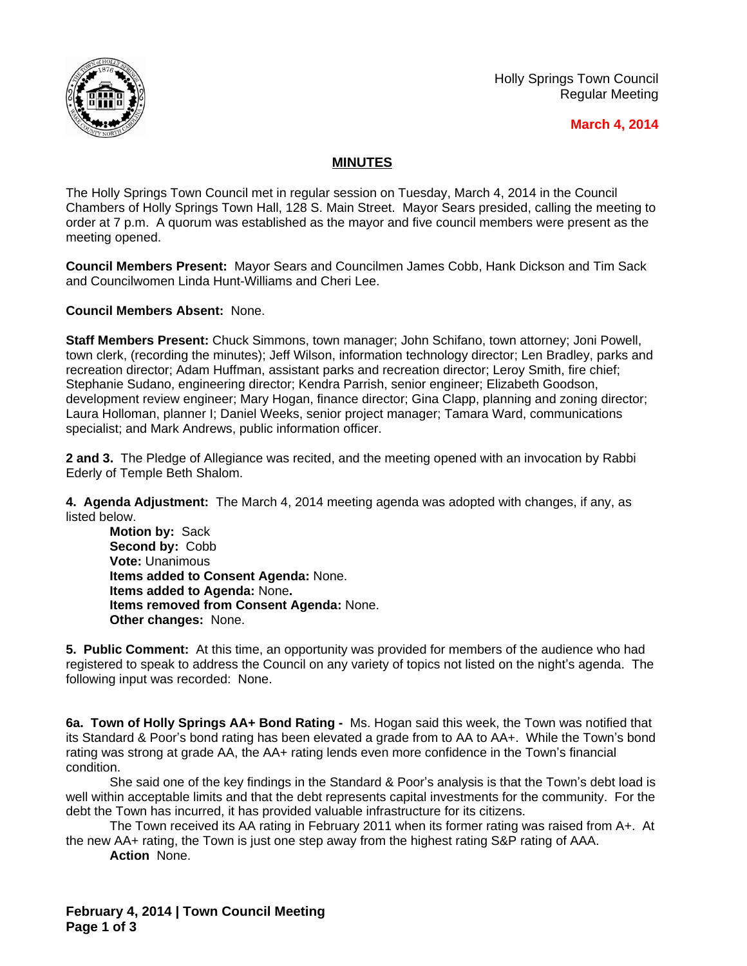

## **March 4, 2014**

## **MINUTES**

The Holly Springs Town Council met in regular session on Tuesday, March 4, 2014 in the Council Chambers of Holly Springs Town Hall, 128 S. Main Street. Mayor Sears presided, calling the meeting to order at 7 p.m. A quorum was established as the mayor and five council members were present as the meeting opened.

**Council Members Present:** Mayor Sears and Councilmen James Cobb, Hank Dickson and Tim Sack and Councilwomen Linda Hunt-Williams and Cheri Lee.

**Council Members Absent:** None.

**Staff Members Present:** Chuck Simmons, town manager; John Schifano, town attorney; Joni Powell, town clerk, (recording the minutes); Jeff Wilson, information technology director; Len Bradley, parks and recreation director; Adam Huffman, assistant parks and recreation director; Leroy Smith, fire chief; Stephanie Sudano, engineering director; Kendra Parrish, senior engineer; Elizabeth Goodson, development review engineer; Mary Hogan, finance director; Gina Clapp, planning and zoning director; Laura Holloman, planner I; Daniel Weeks, senior project manager; Tamara Ward, communications specialist; and Mark Andrews, public information officer.

**2 and 3.** The Pledge of Allegiance was recited, and the meeting opened with an invocation by Rabbi Ederly of Temple Beth Shalom.

**4. Agenda Adjustment:** The March 4, 2014 meeting agenda was adopted with changes, if any, as listed below.

**Motion by:** Sack **Second by:** Cobb **Vote:** Unanimous **Items added to Consent Agenda:** None. **Items added to Agenda:** None**. Items removed from Consent Agenda:** None. **Other changes:** None.

**5. Public Comment:** At this time, an opportunity was provided for members of the audience who had registered to speak to address the Council on any variety of topics not listed on the night's agenda. The following input was recorded: None.

**6a. Town of Holly Springs AA+ Bond Rating -** Ms. Hogan said this week, the Town was notified that its Standard & Poor's bond rating has been elevated a grade from to AA to AA+. While the Town's bond rating was strong at grade AA, the AA+ rating lends even more confidence in the Town's financial condition.

She said one of the key findings in the Standard & Poor's analysis is that the Town's debt load is well within acceptable limits and that the debt represents capital investments for the community. For the debt the Town has incurred, it has provided valuable infrastructure for its citizens.

The Town received its AA rating in February 2011 when its former rating was raised from A+. At the new AA+ rating, the Town is just one step away from the highest rating S&P rating of AAA. **Action** None.

**February 4, 2014 | Town Council Meeting Page 1 of 3**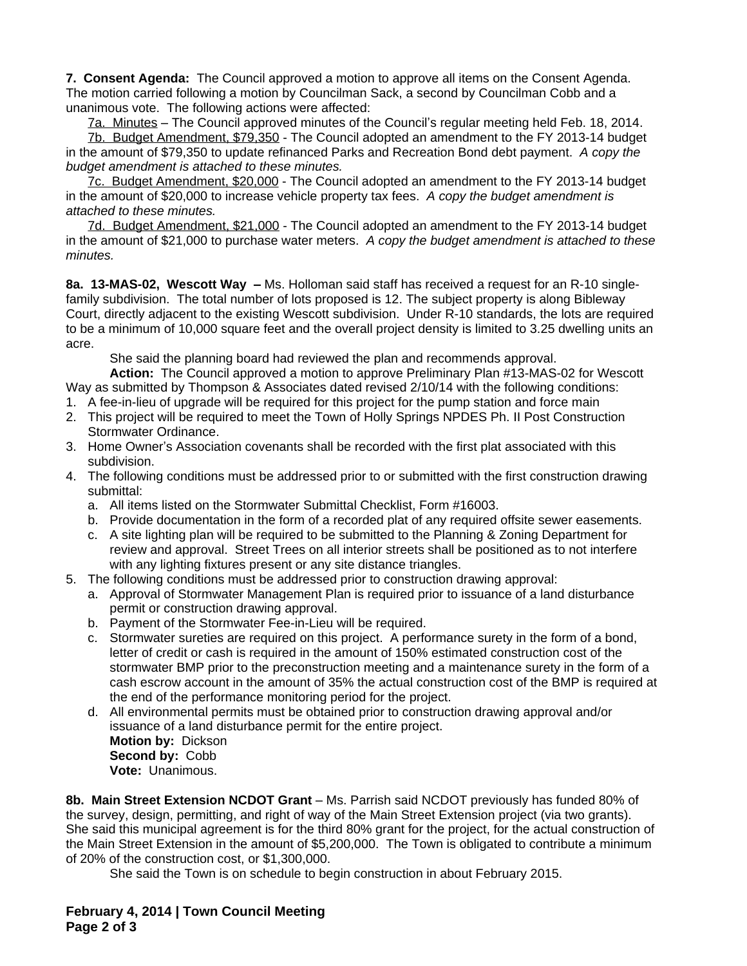**7. Consent Agenda:** The Council approved a motion to approve all items on the Consent Agenda. The motion carried following a motion by Councilman Sack, a second by Councilman Cobb and a unanimous vote. The following actions were affected:

7a. Minutes – The Council approved minutes of the Council's regular meeting held Feb. 18, 2014.

7b. Budget Amendment, \$79,350 - The Council adopted an amendment to the FY 2013-14 budget in the amount of \$79,350 to update refinanced Parks and Recreation Bond debt payment.*A copy the budget amendment is attached to these minutes.*

7c. Budget Amendment, \$20,000 - The Council adopted an amendment to the FY 2013-14 budget in the amount of \$20,000 to increase vehicle property tax fees. *A copy the budget amendment is attached to these minutes.*

7d. Budget Amendment, \$21,000 - The Council adopted an amendment to the FY 2013-14 budget in the amount of \$21,000 to purchase water meters. *A copy the budget amendment is attached to these minutes.*

**8a. 13-MAS-02, Wescott Way –** Ms. Holloman said staff has received a request for an R-10 singlefamily subdivision. The total number of lots proposed is 12. The subject property is along Bibleway Court, directly adjacent to the existing Wescott subdivision. Under R-10 standards, the lots are required to be a minimum of 10,000 square feet and the overall project density is limited to 3.25 dwelling units an acre.

She said the planning board had reviewed the plan and recommends approval.

**Action:** The Council approved a motion to approve Preliminary Plan #13-MAS-02 for Wescott Way as submitted by Thompson & Associates dated revised 2/10/14 with the following conditions:

- 1. A fee-in-lieu of upgrade will be required for this project for the pump station and force main
- 2. This project will be required to meet the Town of Holly Springs NPDES Ph. II Post Construction Stormwater Ordinance.
- 3. Home Owner's Association covenants shall be recorded with the first plat associated with this subdivision.
- 4. The following conditions must be addressed prior to or submitted with the first construction drawing submittal:
	- a. All items listed on the Stormwater Submittal Checklist, Form #16003.
	- b. Provide documentation in the form of a recorded plat of any required offsite sewer easements.
	- c. A site lighting plan will be required to be submitted to the Planning & Zoning Department for review and approval. Street Trees on all interior streets shall be positioned as to not interfere with any lighting fixtures present or any site distance triangles.
- 5. The following conditions must be addressed prior to construction drawing approval:
	- a. Approval of Stormwater Management Plan is required prior to issuance of a land disturbance permit or construction drawing approval.
	- b. Payment of the Stormwater Fee-in-Lieu will be required.
	- c. Stormwater sureties are required on this project. A performance surety in the form of a bond, letter of credit or cash is required in the amount of 150% estimated construction cost of the stormwater BMP prior to the preconstruction meeting and a maintenance surety in the form of a cash escrow account in the amount of 35% the actual construction cost of the BMP is required at the end of the performance monitoring period for the project.
	- d. All environmental permits must be obtained prior to construction drawing approval and/or issuance of a land disturbance permit for the entire project. **Motion by:** Dickson **Second by:** Cobb **Vote:** Unanimous.

**8b. Main Street Extension NCDOT Grant** – Ms. Parrish said NCDOT previously has funded 80% of the survey, design, permitting, and right of way of the Main Street Extension project (via two grants). She said this municipal agreement is for the third 80% grant for the project, for the actual construction of the Main Street Extension in the amount of \$5,200,000. The Town is obligated to contribute a minimum of 20% of the construction cost, or \$1,300,000.

She said the Town is on schedule to begin construction in about February 2015.

**February 4, 2014 | Town Council Meeting Page 2 of 3**